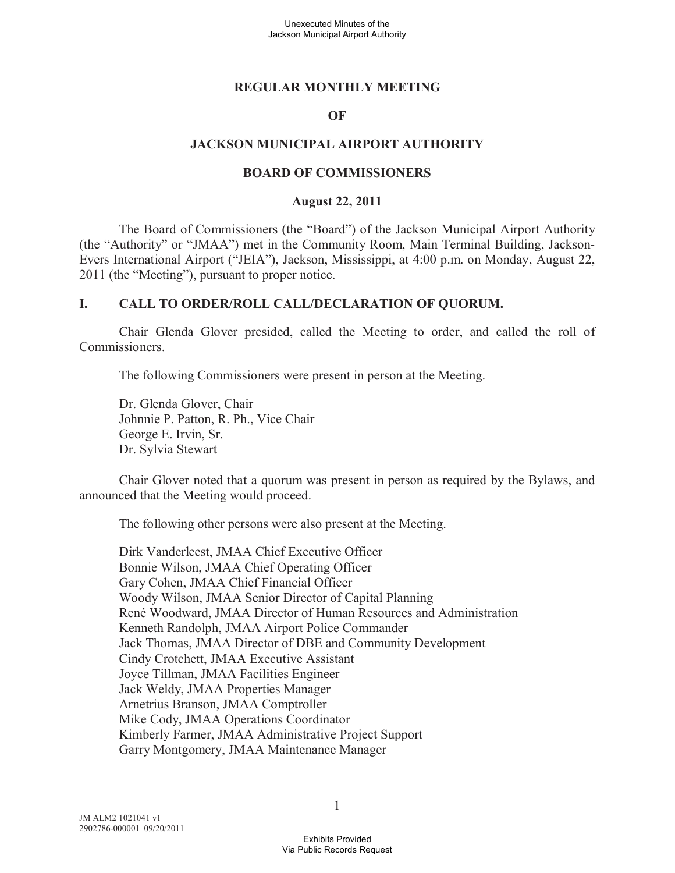### **REGULAR MONTHLY MEETING**

#### **OF**

### **JACKSON MUNICIPAL AIRPORT AUTHORITY**

#### **BOARD OF COMMISSIONERS**

#### **August 22, 2011**

The Board of Commissioners (the "Board") of the Jackson Municipal Airport Authority (the "Authority" or "JMAA") met in the Community Room, Main Terminal Building, Jackson-Evers International Airport ("JEIA"), Jackson, Mississippi, at 4:00 p.m. on Monday, August 22, 2011 (the "Meeting"), pursuant to proper notice.

### **I. CALL TO ORDER/ROLL CALL/DECLARATION OF QUORUM.**

Chair Glenda Glover presided, called the Meeting to order, and called the roll of Commissioners.

The following Commissioners were present in person at the Meeting.

Dr. Glenda Glover, Chair Johnnie P. Patton, R. Ph., Vice Chair George E. Irvin, Sr. Dr. Sylvia Stewart

Chair Glover noted that a quorum was present in person as required by the Bylaws, and announced that the Meeting would proceed.

The following other persons were also present at the Meeting.

Dirk Vanderleest, JMAA Chief Executive Officer Bonnie Wilson, JMAA Chief Operating Officer Gary Cohen, JMAA Chief Financial Officer Woody Wilson, JMAA Senior Director of Capital Planning René Woodward, JMAA Director of Human Resources and Administration Kenneth Randolph, JMAA Airport Police Commander Jack Thomas, JMAA Director of DBE and Community Development Cindy Crotchett, JMAA Executive Assistant Joyce Tillman, JMAA Facilities Engineer Jack Weldy, JMAA Properties Manager Arnetrius Branson, JMAA Comptroller Mike Cody, JMAA Operations Coordinator Kimberly Farmer, JMAA Administrative Project Support Garry Montgomery, JMAA Maintenance Manager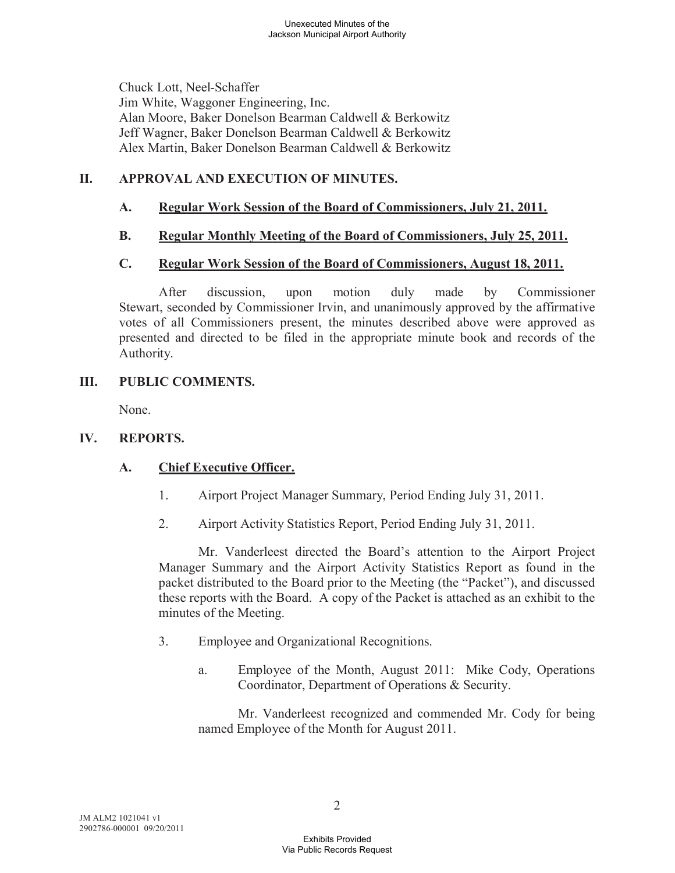Chuck Lott, Neel-Schaffer Jim White, Waggoner Engineering, Inc. Alan Moore, Baker Donelson Bearman Caldwell & Berkowitz Jeff Wagner, Baker Donelson Bearman Caldwell & Berkowitz Alex Martin, Baker Donelson Bearman Caldwell & Berkowitz

### **II. APPROVAL AND EXECUTION OF MINUTES.**

### **A. Regular Work Session of the Board of Commissioners, July 21, 2011.**

### **B. Regular Monthly Meeting of the Board of Commissioners, July 25, 2011.**

### **C. Regular Work Session of the Board of Commissioners, August 18, 2011.**

After discussion, upon motion duly made by Commissioner Stewart, seconded by Commissioner Irvin, and unanimously approved by the affirmative votes of all Commissioners present, the minutes described above were approved as presented and directed to be filed in the appropriate minute book and records of the Authority.

### **III. PUBLIC COMMENTS.**

None.

#### **IV. REPORTS.**

# **A. Chief Executive Officer.**

- 1. Airport Project Manager Summary, Period Ending July 31, 2011.
- 2. Airport Activity Statistics Report, Period Ending July 31, 2011.

Mr. Vanderleest directed the Board's attention to the Airport Project Manager Summary and the Airport Activity Statistics Report as found in the packet distributed to the Board prior to the Meeting (the "Packet"), and discussed these reports with the Board. A copy of the Packet is attached as an exhibit to the minutes of the Meeting.

- 3. Employee and Organizational Recognitions.
	- a. Employee of the Month, August 2011: Mike Cody, Operations Coordinator, Department of Operations & Security.

Mr. Vanderleest recognized and commended Mr. Cody for being named Employee of the Month for August 2011.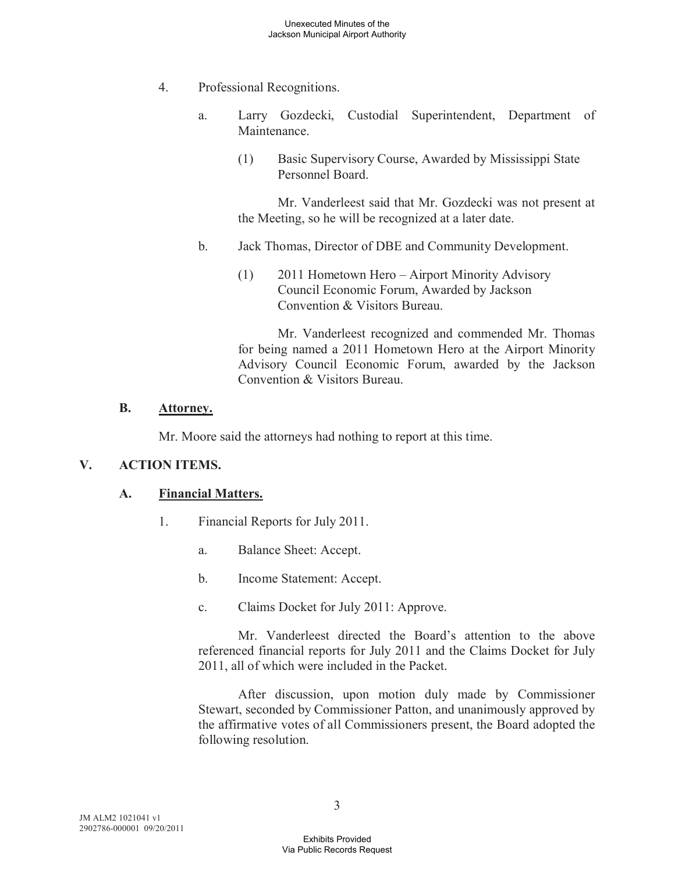- 4. Professional Recognitions.
	- a. Larry Gozdecki, Custodial Superintendent, Department of Maintenance.
		- (1) Basic Supervisory Course, Awarded by Mississippi State Personnel Board.

Mr. Vanderleest said that Mr. Gozdecki was not present at the Meeting, so he will be recognized at a later date.

- b. Jack Thomas, Director of DBE and Community Development.
	- (1) 2011 Hometown Hero Airport Minority Advisory Council Economic Forum, Awarded by Jackson Convention & Visitors Bureau.

Mr. Vanderleest recognized and commended Mr. Thomas for being named a 2011 Hometown Hero at the Airport Minority Advisory Council Economic Forum, awarded by the Jackson Convention & Visitors Bureau.

### **B. Attorney.**

Mr. Moore said the attorneys had nothing to report at this time.

# **V. ACTION ITEMS.**

# **A. Financial Matters.**

- 1. Financial Reports for July 2011.
	- a. Balance Sheet: Accept.
	- b. Income Statement: Accept.
	- c. Claims Docket for July 2011: Approve.

Mr. Vanderleest directed the Board's attention to the above referenced financial reports for July 2011 and the Claims Docket for July 2011, all of which were included in the Packet.

After discussion, upon motion duly made by Commissioner Stewart, seconded by Commissioner Patton, and unanimously approved by the affirmative votes of all Commissioners present, the Board adopted the following resolution.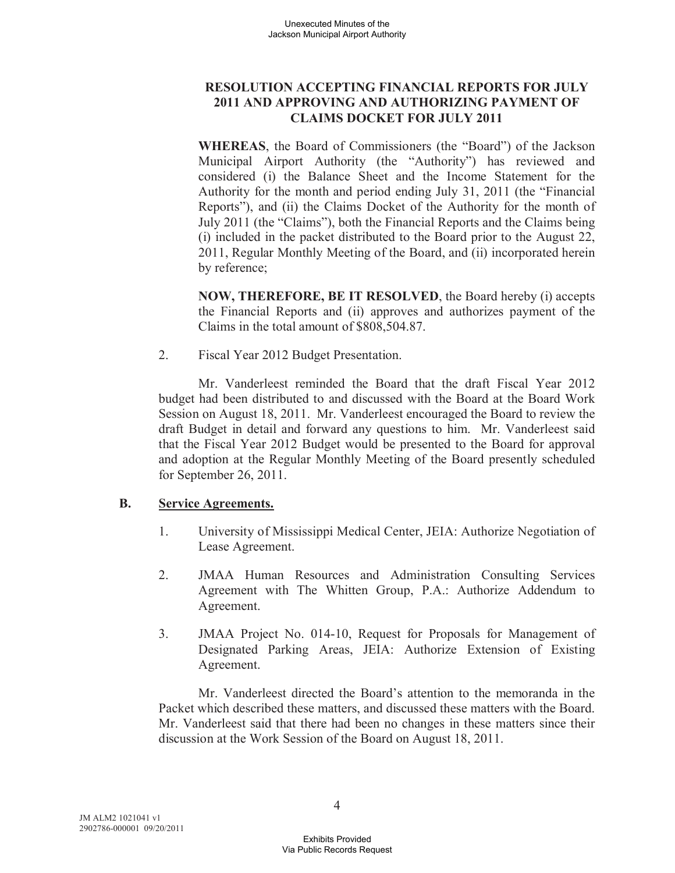# **RESOLUTION ACCEPTING FINANCIAL REPORTS FOR JULY 2011 AND APPROVING AND AUTHORIZING PAYMENT OF CLAIMS DOCKET FOR JULY 2011**

**WHEREAS**, the Board of Commissioners (the "Board") of the Jackson Municipal Airport Authority (the "Authority") has reviewed and considered (i) the Balance Sheet and the Income Statement for the Authority for the month and period ending July 31, 2011 (the "Financial Reports"), and (ii) the Claims Docket of the Authority for the month of July 2011 (the "Claims"), both the Financial Reports and the Claims being (i) included in the packet distributed to the Board prior to the August 22, 2011, Regular Monthly Meeting of the Board, and (ii) incorporated herein by reference;

**NOW, THEREFORE, BE IT RESOLVED**, the Board hereby (i) accepts the Financial Reports and (ii) approves and authorizes payment of the Claims in the total amount of \$808,504.87.

2. Fiscal Year 2012 Budget Presentation.

Mr. Vanderleest reminded the Board that the draft Fiscal Year 2012 budget had been distributed to and discussed with the Board at the Board Work Session on August 18, 2011. Mr. Vanderleest encouraged the Board to review the draft Budget in detail and forward any questions to him. Mr. Vanderleest said that the Fiscal Year 2012 Budget would be presented to the Board for approval and adoption at the Regular Monthly Meeting of the Board presently scheduled for September 26, 2011.

# **B. Service Agreements.**

- 1. University of Mississippi Medical Center, JEIA: Authorize Negotiation of Lease Agreement.
- 2. JMAA Human Resources and Administration Consulting Services Agreement with The Whitten Group, P.A.: Authorize Addendum to Agreement.
- 3. JMAA Project No. 014-10, Request for Proposals for Management of Designated Parking Areas, JEIA: Authorize Extension of Existing Agreement.

Mr. Vanderleest directed the Board's attention to the memoranda in the Packet which described these matters, and discussed these matters with the Board. Mr. Vanderleest said that there had been no changes in these matters since their discussion at the Work Session of the Board on August 18, 2011.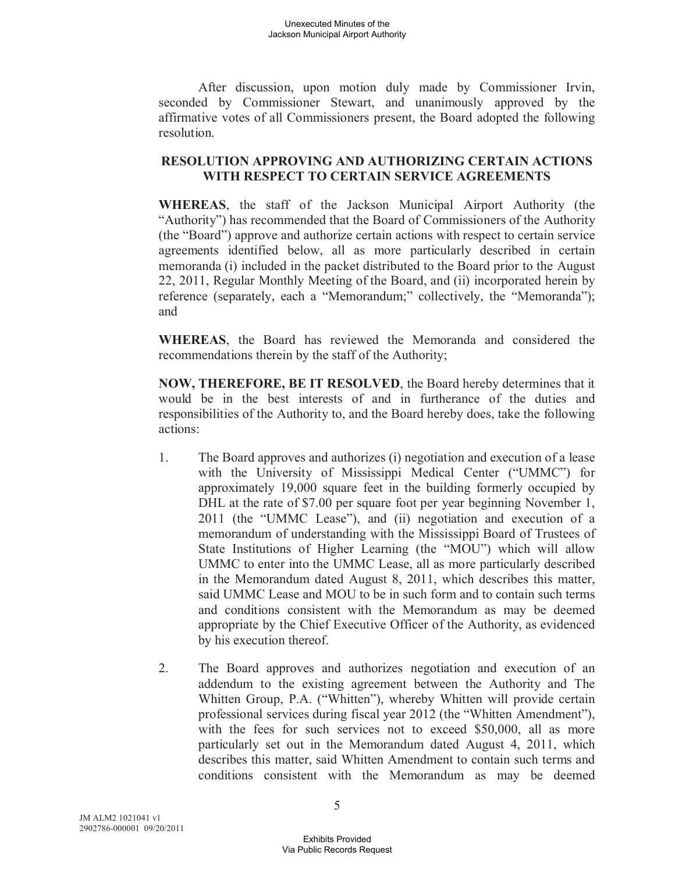After discussion, upon motion duly made by Commissioner Irvin, seconded by Commissioner Stewart, and unanimously approved by the affirmative votes of all Commissioners present, the Board adopted the following resolution.

### **RESOLUTION APPROVING AND AUTHORIZING CERTAIN ACTIONS WITH RESPECT TO CERTAIN SERVICE AGREEMENTS**

**WHEREAS**, the staff of the Jackson Municipal Airport Authority (the "Authority") has recommended that the Board of Commissioners of the Authority (the "Board") approve and authorize certain actions with respect to certain service agreements identified below, all as more particularly described in certain memoranda (i) included in the packet distributed to the Board prior to the August 22, 2011, Regular Monthly Meeting of the Board, and (ii) incorporated herein by reference (separately, each a "Memorandum;" collectively, the "Memoranda"); and

**WHEREAS**, the Board has reviewed the Memoranda and considered the recommendations therein by the staff of the Authority;

**NOW, THEREFORE, BE IT RESOLVED**, the Board hereby determines that it would be in the best interests of and in furtherance of the duties and responsibilities of the Authority to, and the Board hereby does, take the following actions:

- 1. The Board approves and authorizes (i) negotiation and execution of a lease with the University of Mississippi Medical Center ("UMMC") for approximately 19,000 square feet in the building formerly occupied by DHL at the rate of \$7.00 per square foot per year beginning November 1, 2011 (the "UMMC Lease"), and (ii) negotiation and execution of a memorandum of understanding with the Mississippi Board of Trustees of State Institutions of Higher Learning (the "MOU") which will allow UMMC to enter into the UMMC Lease, all as more particularly described in the Memorandum dated August 8, 2011, which describes this matter, said UMMC Lease and MOU to be in such form and to contain such terms and conditions consistent with the Memorandum as may be deemed appropriate by the Chief Executive Officer of the Authority, as evidenced by his execution thereof.
- 2. The Board approves and authorizes negotiation and execution of an addendum to the existing agreement between the Authority and The Whitten Group, P.A. ("Whitten"), whereby Whitten will provide certain professional services during fiscal year 2012 (the "Whitten Amendment"), with the fees for such services not to exceed \$50,000, all as more particularly set out in the Memorandum dated August 4, 2011, which describes this matter, said Whitten Amendment to contain such terms and conditions consistent with the Memorandum as may be deemed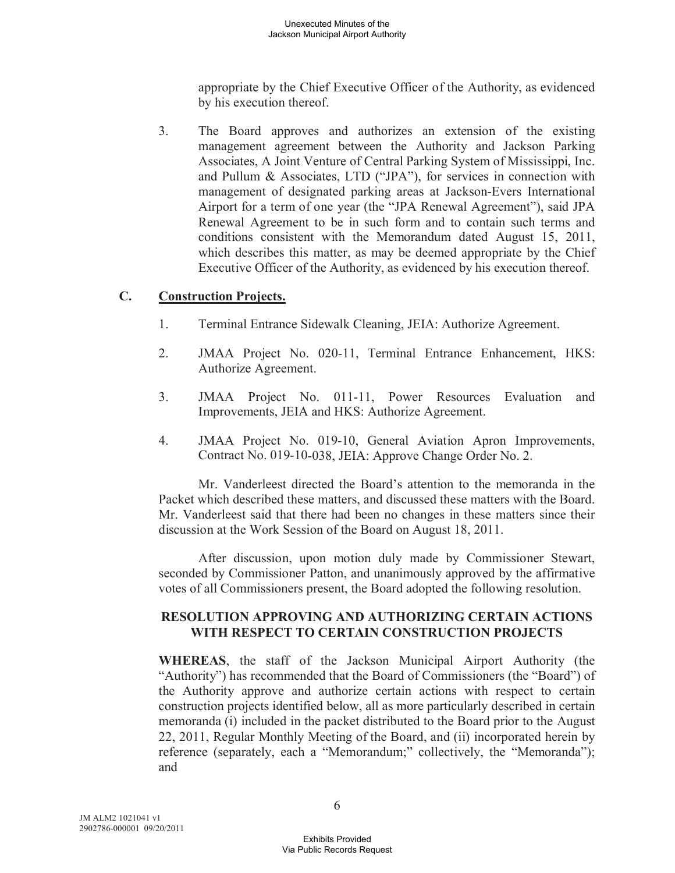appropriate by the Chief Executive Officer of the Authority, as evidenced by his execution thereof.

3. The Board approves and authorizes an extension of the existing management agreement between the Authority and Jackson Parking Associates, A Joint Venture of Central Parking System of Mississippi, Inc. and Pullum & Associates, LTD ("JPA"), for services in connection with management of designated parking areas at Jackson-Evers International Airport for a term of one year (the "JPA Renewal Agreement"), said JPA Renewal Agreement to be in such form and to contain such terms and conditions consistent with the Memorandum dated August 15, 2011, which describes this matter, as may be deemed appropriate by the Chief Executive Officer of the Authority, as evidenced by his execution thereof.

# **C. Construction Projects.**

- 1. Terminal Entrance Sidewalk Cleaning, JEIA: Authorize Agreement.
- 2. JMAA Project No. 020-11, Terminal Entrance Enhancement, HKS: Authorize Agreement.
- 3. JMAA Project No. 011-11, Power Resources Evaluation and Improvements, JEIA and HKS: Authorize Agreement.
- 4. JMAA Project No. 019-10, General Aviation Apron Improvements, Contract No. 019-10-038, JEIA: Approve Change Order No. 2.

Mr. Vanderleest directed the Board's attention to the memoranda in the Packet which described these matters, and discussed these matters with the Board. Mr. Vanderleest said that there had been no changes in these matters since their discussion at the Work Session of the Board on August 18, 2011.

After discussion, upon motion duly made by Commissioner Stewart, seconded by Commissioner Patton, and unanimously approved by the affirmative votes of all Commissioners present, the Board adopted the following resolution.

### **RESOLUTION APPROVING AND AUTHORIZING CERTAIN ACTIONS WITH RESPECT TO CERTAIN CONSTRUCTION PROJECTS**

**WHEREAS**, the staff of the Jackson Municipal Airport Authority (the "Authority") has recommended that the Board of Commissioners (the "Board") of the Authority approve and authorize certain actions with respect to certain construction projects identified below, all as more particularly described in certain memoranda (i) included in the packet distributed to the Board prior to the August 22, 2011, Regular Monthly Meeting of the Board, and (ii) incorporated herein by reference (separately, each a "Memorandum;" collectively, the "Memoranda"); and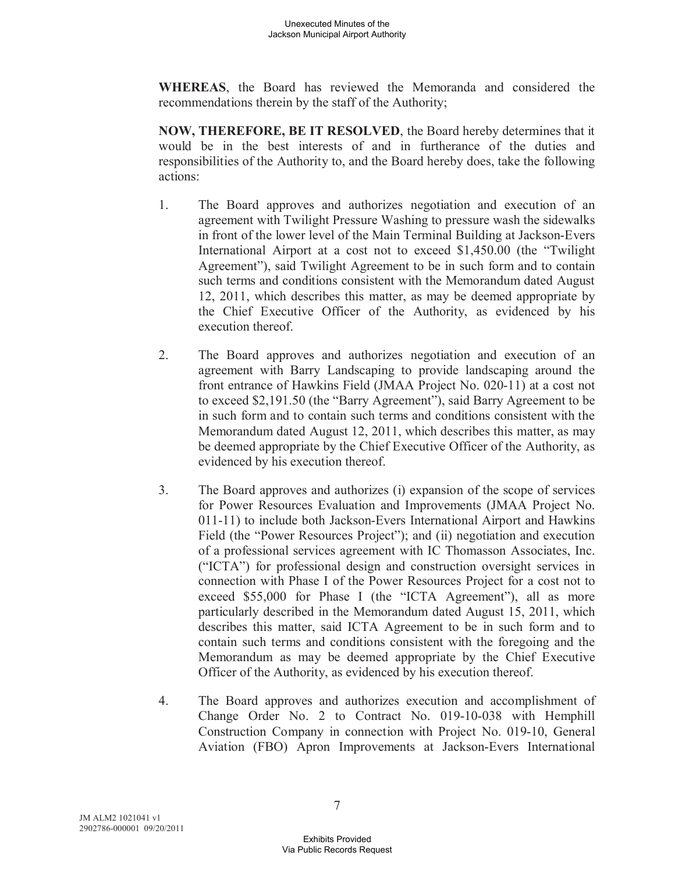**WHEREAS**, the Board has reviewed the Memoranda and considered the recommendations therein by the staff of the Authority;

**NOW, THEREFORE, BE IT RESOLVED**, the Board hereby determines that it would be in the best interests of and in furtherance of the duties and responsibilities of the Authority to, and the Board hereby does, take the following actions:

- 1. The Board approves and authorizes negotiation and execution of an agreement with Twilight Pressure Washing to pressure wash the sidewalks in front of the lower level of the Main Terminal Building at Jackson-Evers International Airport at a cost not to exceed \$1,450.00 (the "Twilight Agreement"), said Twilight Agreement to be in such form and to contain such terms and conditions consistent with the Memorandum dated August 12, 2011, which describes this matter, as may be deemed appropriate by the Chief Executive Officer of the Authority, as evidenced by his execution thereof.
- 2. The Board approves and authorizes negotiation and execution of an agreement with Barry Landscaping to provide landscaping around the front entrance of Hawkins Field (JMAA Project No. 020-11) at a cost not to exceed \$2,191.50 (the "Barry Agreement"), said Barry Agreement to be in such form and to contain such terms and conditions consistent with the Memorandum dated August 12, 2011, which describes this matter, as may be deemed appropriate by the Chief Executive Officer of the Authority, as evidenced by his execution thereof.
- 3. The Board approves and authorizes (i) expansion of the scope of services for Power Resources Evaluation and Improvements (JMAA Project No. 011-11) to include both Jackson-Evers International Airport and Hawkins Field (the "Power Resources Project"); and (ii) negotiation and execution of a professional services agreement with IC Thomasson Associates, Inc. ("ICTA") for professional design and construction oversight services in connection with Phase I of the Power Resources Project for a cost not to exceed \$55,000 for Phase I (the "ICTA Agreement"), all as more particularly described in the Memorandum dated August 15, 2011, which describes this matter, said ICTA Agreement to be in such form and to contain such terms and conditions consistent with the foregoing and the Memorandum as may be deemed appropriate by the Chief Executive Officer of the Authority, as evidenced by his execution thereof.
- 4. The Board approves and authorizes execution and accomplishment of Change Order No. 2 to Contract No. 019-10-038 with Hemphill Construction Company in connection with Project No. 019-10, General Aviation (FBO) Apron Improvements at Jackson-Evers International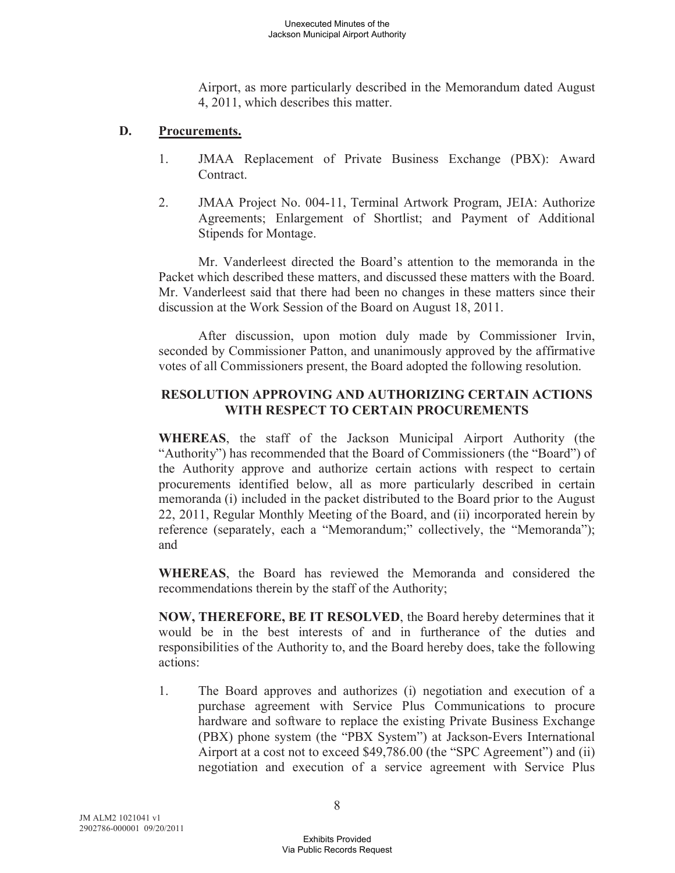Airport, as more particularly described in the Memorandum dated August 4, 2011, which describes this matter.

### **D. Procurements.**

- 1. JMAA Replacement of Private Business Exchange (PBX): Award **Contract**
- 2. JMAA Project No. 004-11, Terminal Artwork Program, JEIA: Authorize Agreements; Enlargement of Shortlist; and Payment of Additional Stipends for Montage.

Mr. Vanderleest directed the Board's attention to the memoranda in the Packet which described these matters, and discussed these matters with the Board. Mr. Vanderleest said that there had been no changes in these matters since their discussion at the Work Session of the Board on August 18, 2011.

After discussion, upon motion duly made by Commissioner Irvin, seconded by Commissioner Patton, and unanimously approved by the affirmative votes of all Commissioners present, the Board adopted the following resolution.

### **RESOLUTION APPROVING AND AUTHORIZING CERTAIN ACTIONS WITH RESPECT TO CERTAIN PROCUREMENTS**

**WHEREAS**, the staff of the Jackson Municipal Airport Authority (the "Authority") has recommended that the Board of Commissioners (the "Board") of the Authority approve and authorize certain actions with respect to certain procurements identified below, all as more particularly described in certain memoranda (i) included in the packet distributed to the Board prior to the August 22, 2011, Regular Monthly Meeting of the Board, and (ii) incorporated herein by reference (separately, each a "Memorandum;" collectively, the "Memoranda"); and

**WHEREAS**, the Board has reviewed the Memoranda and considered the recommendations therein by the staff of the Authority;

**NOW, THEREFORE, BE IT RESOLVED**, the Board hereby determines that it would be in the best interests of and in furtherance of the duties and responsibilities of the Authority to, and the Board hereby does, take the following actions:

1. The Board approves and authorizes (i) negotiation and execution of a purchase agreement with Service Plus Communications to procure hardware and software to replace the existing Private Business Exchange (PBX) phone system (the "PBX System") at Jackson-Evers International Airport at a cost not to exceed \$49,786.00 (the "SPC Agreement") and (ii) negotiation and execution of a service agreement with Service Plus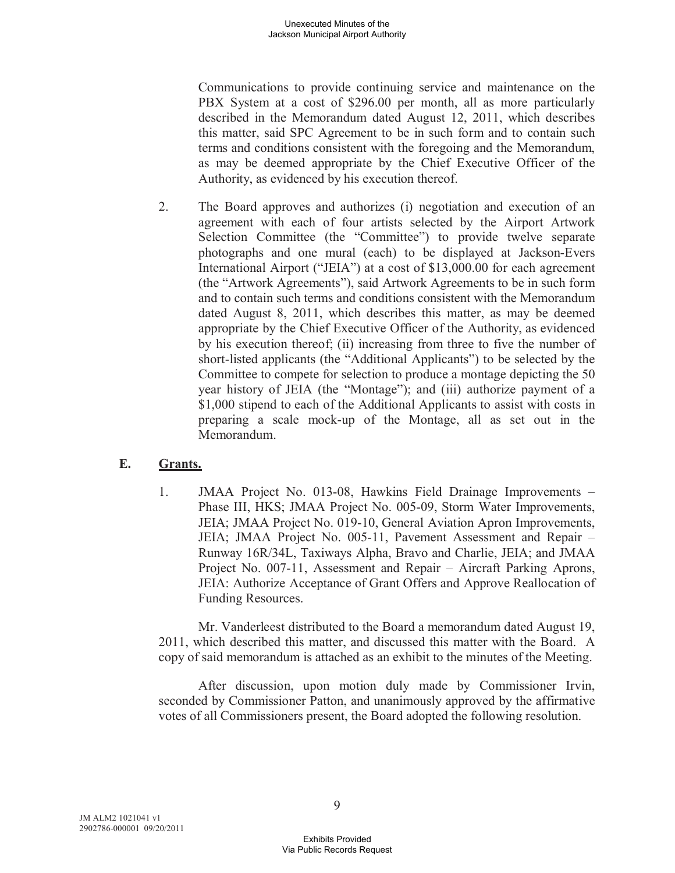Communications to provide continuing service and maintenance on the PBX System at a cost of \$296.00 per month, all as more particularly described in the Memorandum dated August 12, 2011, which describes this matter, said SPC Agreement to be in such form and to contain such terms and conditions consistent with the foregoing and the Memorandum, as may be deemed appropriate by the Chief Executive Officer of the Authority, as evidenced by his execution thereof.

2. The Board approves and authorizes (i) negotiation and execution of an agreement with each of four artists selected by the Airport Artwork Selection Committee (the "Committee") to provide twelve separate photographs and one mural (each) to be displayed at Jackson-Evers International Airport ("JEIA") at a cost of \$13,000.00 for each agreement (the "Artwork Agreements"), said Artwork Agreements to be in such form and to contain such terms and conditions consistent with the Memorandum dated August 8, 2011, which describes this matter, as may be deemed appropriate by the Chief Executive Officer of the Authority, as evidenced by his execution thereof; (ii) increasing from three to five the number of short-listed applicants (the "Additional Applicants") to be selected by the Committee to compete for selection to produce a montage depicting the 50 year history of JEIA (the "Montage"); and (iii) authorize payment of a \$1,000 stipend to each of the Additional Applicants to assist with costs in preparing a scale mock-up of the Montage, all as set out in the Memorandum.

# **E. Grants.**

1. JMAA Project No. 013-08, Hawkins Field Drainage Improvements – Phase III, HKS; JMAA Project No. 005-09, Storm Water Improvements, JEIA; JMAA Project No. 019-10, General Aviation Apron Improvements, JEIA; JMAA Project No. 005-11, Pavement Assessment and Repair – Runway 16R/34L, Taxiways Alpha, Bravo and Charlie, JEIA; and JMAA Project No. 007-11, Assessment and Repair – Aircraft Parking Aprons, JEIA: Authorize Acceptance of Grant Offers and Approve Reallocation of Funding Resources.

Mr. Vanderleest distributed to the Board a memorandum dated August 19, 2011, which described this matter, and discussed this matter with the Board. A copy of said memorandum is attached as an exhibit to the minutes of the Meeting.

After discussion, upon motion duly made by Commissioner Irvin, seconded by Commissioner Patton, and unanimously approved by the affirmative votes of all Commissioners present, the Board adopted the following resolution.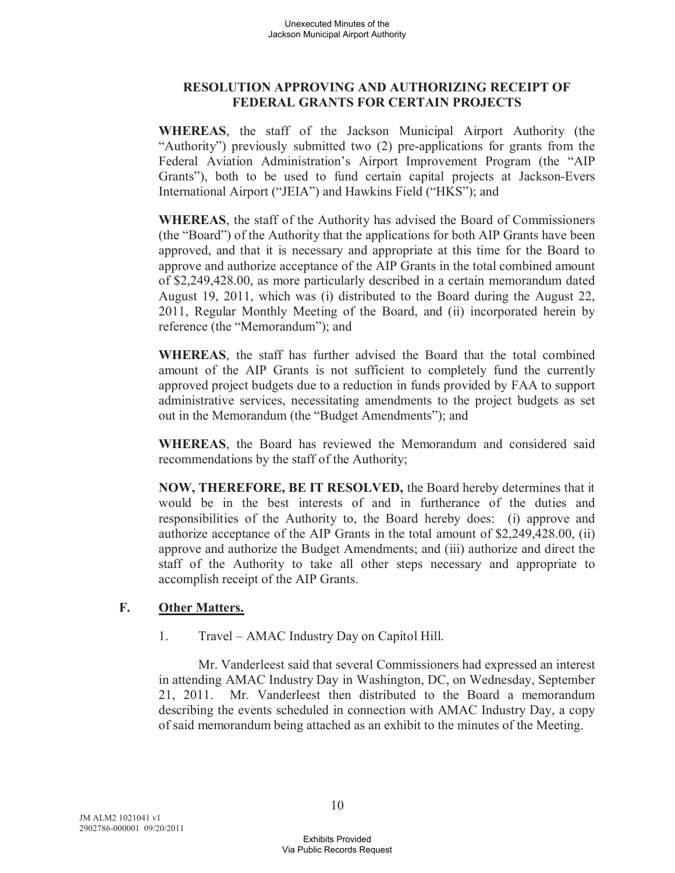### **RESOLUTION APPROVING AND AUTHORIZING RECEIPT OF FEDERAL GRANTS FOR CERTAIN PROJECTS**

**WHEREAS**, the staff of the Jackson Municipal Airport Authority (the "Authority") previously submitted two (2) pre-applications for grants from the Federal Aviation Administration's Airport Improvement Program (the "AIP Grants"), both to be used to fund certain capital projects at Jackson-Evers International Airport ("JEIA") and Hawkins Field ("HKS"); and

**WHEREAS**, the staff of the Authority has advised the Board of Commissioners (the "Board") of the Authority that the applications for both AIP Grants have been approved, and that it is necessary and appropriate at this time for the Board to approve and authorize acceptance of the AIP Grants in the total combined amount of \$2,249,428.00, as more particularly described in a certain memorandum dated August 19, 2011, which was (i) distributed to the Board during the August 22, 2011, Regular Monthly Meeting of the Board, and (ii) incorporated herein by reference (the "Memorandum"); and

**WHEREAS**, the staff has further advised the Board that the total combined amount of the AIP Grants is not sufficient to completely fund the currently approved project budgets due to a reduction in funds provided by FAA to support administrative services, necessitating amendments to the project budgets as set out in the Memorandum (the "Budget Amendments"); and

**WHEREAS**, the Board has reviewed the Memorandum and considered said recommendations by the staff of the Authority;

**NOW, THEREFORE, BE IT RESOLVED,** the Board hereby determines that it would be in the best interests of and in furtherance of the duties and responsibilities of the Authority to, the Board hereby does: (i) approve and authorize acceptance of the AIP Grants in the total amount of \$2,249,428.00, (ii) approve and authorize the Budget Amendments; and (iii) authorize and direct the staff of the Authority to take all other steps necessary and appropriate to accomplish receipt of the AIP Grants.

# **F. Other Matters.**

1. Travel – AMAC Industry Day on Capitol Hill.

Mr. Vanderleest said that several Commissioners had expressed an interest in attending AMAC Industry Day in Washington, DC, on Wednesday, September 21, 2011. Mr. Vanderleest then distributed to the Board a memorandum describing the events scheduled in connection with AMAC Industry Day, a copy of said memorandum being attached as an exhibit to the minutes of the Meeting.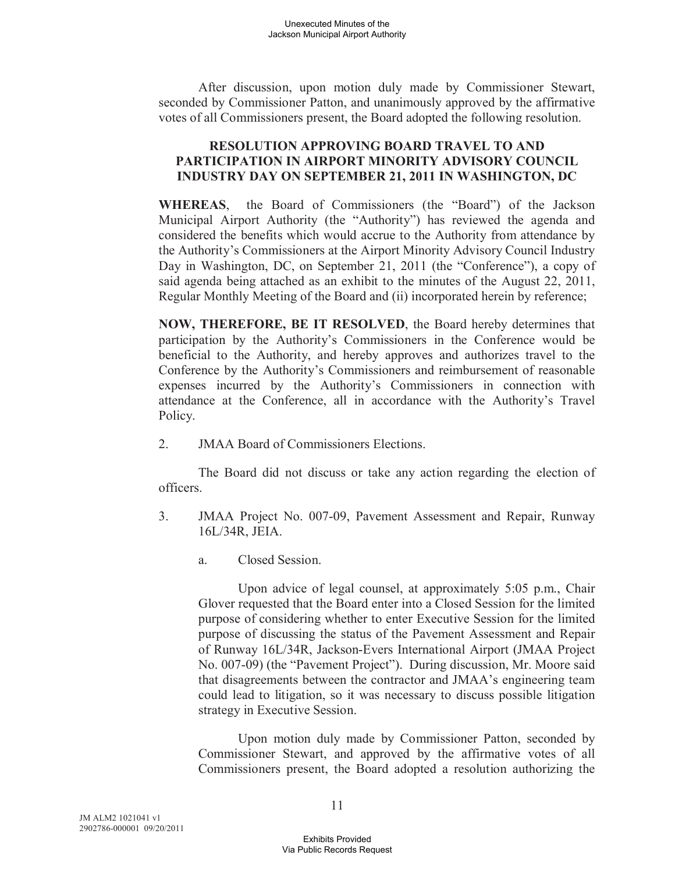After discussion, upon motion duly made by Commissioner Stewart, seconded by Commissioner Patton, and unanimously approved by the affirmative votes of all Commissioners present, the Board adopted the following resolution.

### **RESOLUTION APPROVING BOARD TRAVEL TO AND PARTICIPATION IN AIRPORT MINORITY ADVISORY COUNCIL INDUSTRY DAY ON SEPTEMBER 21, 2011 IN WASHINGTON, DC**

**WHEREAS**, the Board of Commissioners (the "Board") of the Jackson Municipal Airport Authority (the "Authority") has reviewed the agenda and considered the benefits which would accrue to the Authority from attendance by the Authority's Commissioners at the Airport Minority Advisory Council Industry Day in Washington, DC, on September 21, 2011 (the "Conference"), a copy of said agenda being attached as an exhibit to the minutes of the August 22, 2011, Regular Monthly Meeting of the Board and (ii) incorporated herein by reference;

**NOW, THEREFORE, BE IT RESOLVED**, the Board hereby determines that participation by the Authority's Commissioners in the Conference would be beneficial to the Authority, and hereby approves and authorizes travel to the Conference by the Authority's Commissioners and reimbursement of reasonable expenses incurred by the Authority's Commissioners in connection with attendance at the Conference, all in accordance with the Authority's Travel Policy.

2. JMAA Board of Commissioners Elections.

The Board did not discuss or take any action regarding the election of officers.

- 3. JMAA Project No. 007-09, Pavement Assessment and Repair, Runway 16L/34R, JEIA.
	- a. Closed Session.

Upon advice of legal counsel, at approximately 5:05 p.m., Chair Glover requested that the Board enter into a Closed Session for the limited purpose of considering whether to enter Executive Session for the limited purpose of discussing the status of the Pavement Assessment and Repair of Runway 16L/34R, Jackson-Evers International Airport (JMAA Project No. 007-09) (the "Pavement Project"). During discussion, Mr. Moore said that disagreements between the contractor and JMAA's engineering team could lead to litigation, so it was necessary to discuss possible litigation strategy in Executive Session.

Upon motion duly made by Commissioner Patton, seconded by Commissioner Stewart, and approved by the affirmative votes of all Commissioners present, the Board adopted a resolution authorizing the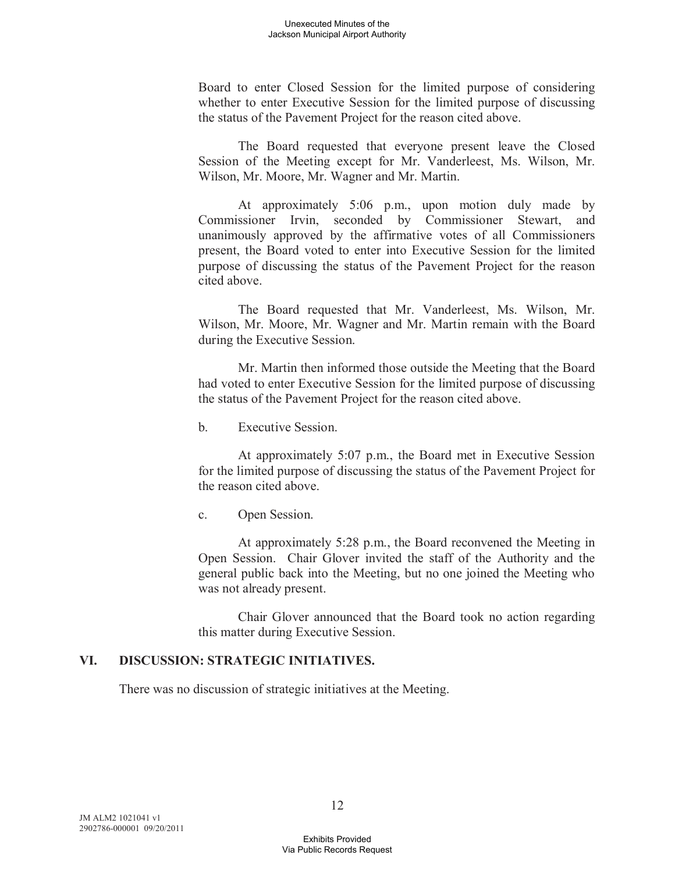Board to enter Closed Session for the limited purpose of considering whether to enter Executive Session for the limited purpose of discussing the status of the Pavement Project for the reason cited above.

The Board requested that everyone present leave the Closed Session of the Meeting except for Mr. Vanderleest, Ms. Wilson, Mr. Wilson, Mr. Moore, Mr. Wagner and Mr. Martin.

At approximately 5:06 p.m., upon motion duly made by Commissioner Irvin, seconded by Commissioner Stewart, and unanimously approved by the affirmative votes of all Commissioners present, the Board voted to enter into Executive Session for the limited purpose of discussing the status of the Pavement Project for the reason cited above.

The Board requested that Mr. Vanderleest, Ms. Wilson, Mr. Wilson, Mr. Moore, Mr. Wagner and Mr. Martin remain with the Board during the Executive Session.

Mr. Martin then informed those outside the Meeting that the Board had voted to enter Executive Session for the limited purpose of discussing the status of the Pavement Project for the reason cited above.

b. Executive Session.

At approximately 5:07 p.m., the Board met in Executive Session for the limited purpose of discussing the status of the Pavement Project for the reason cited above.

c. Open Session.

At approximately 5:28 p.m., the Board reconvened the Meeting in Open Session. Chair Glover invited the staff of the Authority and the general public back into the Meeting, but no one joined the Meeting who was not already present.

Chair Glover announced that the Board took no action regarding this matter during Executive Session.

# **VI. DISCUSSION: STRATEGIC INITIATIVES.**

There was no discussion of strategic initiatives at the Meeting.